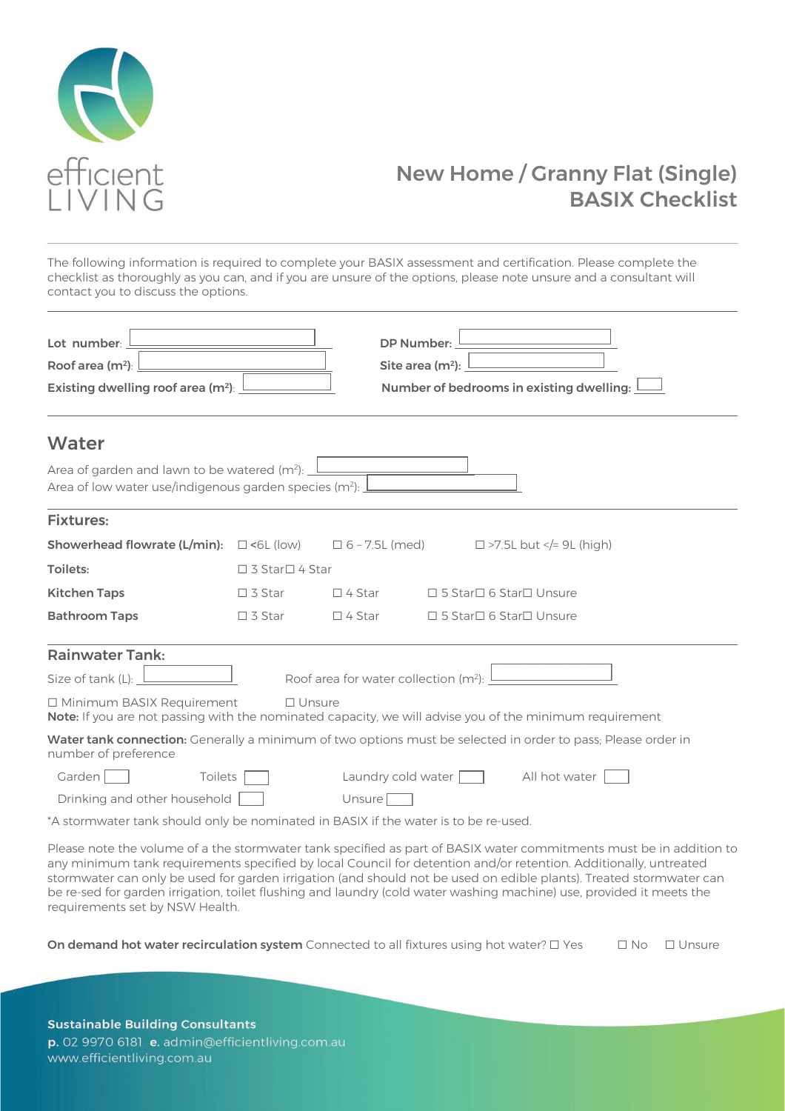

### New Home / Granny Flat (Single) BASIX Checklist

The following information is required to complete your BASIX assessment and certification. Please complete the checklist as thoroughly as you can, and if you are unsure of the options, please note unsure and a consultant will contact you to discuss the options.

| Lot number:<br>Roof area $(m2)$ :<br>Existing dwelling roof area (m <sup>2</sup> ):                                                                           |                  | <b>DP Number:</b>                                 | Site area $(m2)$ :       | Number of bedrooms in existing dwelling:                                                                                                                                                                                                                                                                                                                                                                                                                                               |  |  |  |
|---------------------------------------------------------------------------------------------------------------------------------------------------------------|------------------|---------------------------------------------------|--------------------------|----------------------------------------------------------------------------------------------------------------------------------------------------------------------------------------------------------------------------------------------------------------------------------------------------------------------------------------------------------------------------------------------------------------------------------------------------------------------------------------|--|--|--|
| Water                                                                                                                                                         |                  |                                                   |                          |                                                                                                                                                                                                                                                                                                                                                                                                                                                                                        |  |  |  |
| Area of garden and lawn to be watered (m <sup>2</sup> ):<br>Area of low water use/indigenous garden species (m <sup>2</sup> ):                                |                  |                                                   |                          |                                                                                                                                                                                                                                                                                                                                                                                                                                                                                        |  |  |  |
| <b>Fixtures:</b>                                                                                                                                              |                  |                                                   |                          |                                                                                                                                                                                                                                                                                                                                                                                                                                                                                        |  |  |  |
| <b>Showerhead flowrate (L/min):</b> $\Box$ <6L (low)                                                                                                          |                  | $\Box$ 6 - 7.5L (med)                             |                          | $\Box$ >7.5L but = 9L (high)</td                                                                                                                                                                                                                                                                                                                                                                                                                                                       |  |  |  |
| Toilets:                                                                                                                                                      | □ 3 Star□ 4 Star |                                                   |                          |                                                                                                                                                                                                                                                                                                                                                                                                                                                                                        |  |  |  |
| <b>Kitchen Taps</b>                                                                                                                                           | $\Box$ 3 Star    | $\Box$ 4 Star                                     | □5 Star□6 Star□ Unsure   |                                                                                                                                                                                                                                                                                                                                                                                                                                                                                        |  |  |  |
| <b>Bathroom Taps</b>                                                                                                                                          | $\Box$ 3 Star    | $\Box$ 4 Star                                     | □ 5 Star□ 6 Star□ Unsure |                                                                                                                                                                                                                                                                                                                                                                                                                                                                                        |  |  |  |
| <b>Rainwater Tank:</b>                                                                                                                                        |                  |                                                   |                          |                                                                                                                                                                                                                                                                                                                                                                                                                                                                                        |  |  |  |
| Size of tank (L):                                                                                                                                             |                  | Roof area for water collection (m <sup>2</sup> ): |                          |                                                                                                                                                                                                                                                                                                                                                                                                                                                                                        |  |  |  |
| <b>IMinimum BASIX Requirement</b><br>$\Box$ Unsure<br>Note: If you are not passing with the nominated capacity, we will advise you of the minimum requirement |                  |                                                   |                          |                                                                                                                                                                                                                                                                                                                                                                                                                                                                                        |  |  |  |
| Water tank connection: Generally a minimum of two options must be selected in order to pass; Please order in<br>number of preference                          |                  |                                                   |                          |                                                                                                                                                                                                                                                                                                                                                                                                                                                                                        |  |  |  |
| Garden<br>Toilets                                                                                                                                             |                  | Laundry cold water                                |                          | All hot water                                                                                                                                                                                                                                                                                                                                                                                                                                                                          |  |  |  |
| Drinking and other household                                                                                                                                  |                  | Unsure <sup>[</sup>                               |                          |                                                                                                                                                                                                                                                                                                                                                                                                                                                                                        |  |  |  |
| *A stormwater tank should only be nominated in BASIX if the water is to be re-used.                                                                           |                  |                                                   |                          |                                                                                                                                                                                                                                                                                                                                                                                                                                                                                        |  |  |  |
| requirements set by NSW Health.                                                                                                                               |                  |                                                   |                          | Please note the volume of a the stormwater tank specified as part of BASIX water commitments must be in addition to<br>any minimum tank requirements specified by local Council for detention and/or retention. Additionally, untreated<br>stormwater can only be used for garden irrigation (and should not be used on edible plants). Treated stormwater can<br>be re-sed for garden irrigation, toilet flushing and laundry (cold water washing machine) use, provided it meets the |  |  |  |

On demand hot water recirculation system Connected to all fixtures using hot water? □ Yes □ No □ Unsure

**Sustainable Building Consultants** p. 02 9970 6181 e. admin@efficientliving.com.au www.efficientliving.com.au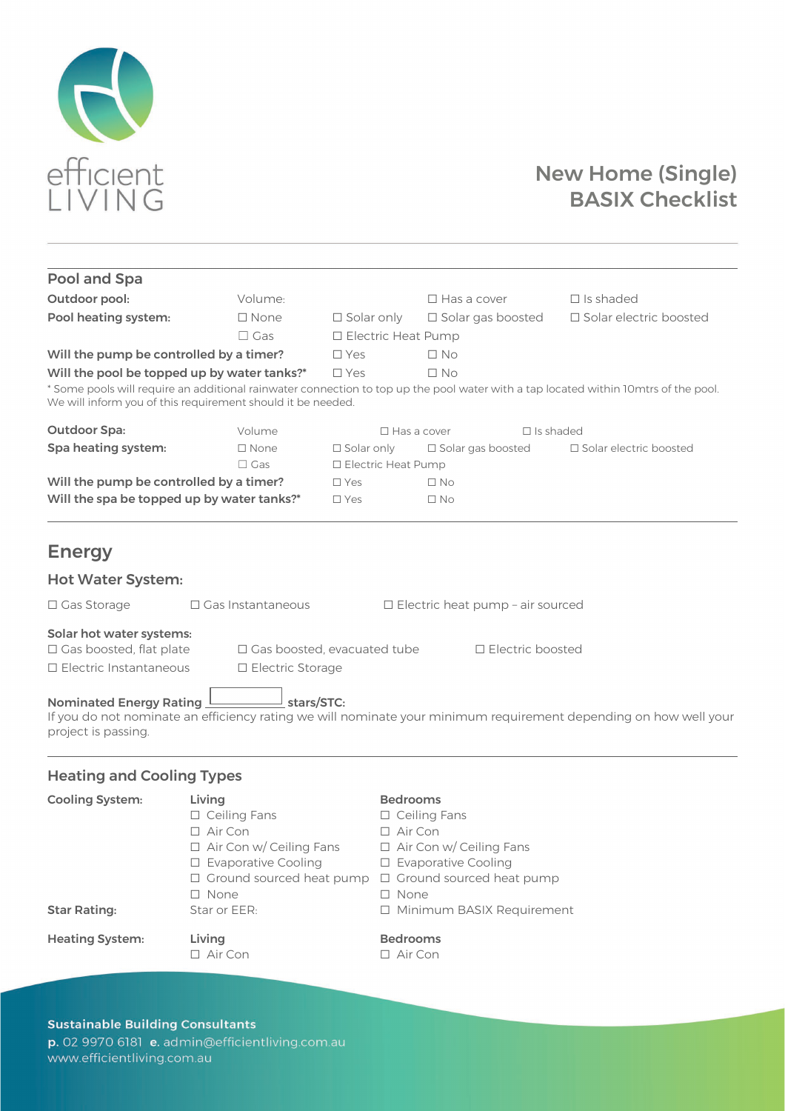

# New Home (Single) BASIX Checklist

| Pool and Spa                                                                                                                                                                                                       |                                                                                   |                                    |                                                                    |                                                                                                                                     |  |  |
|--------------------------------------------------------------------------------------------------------------------------------------------------------------------------------------------------------------------|-----------------------------------------------------------------------------------|------------------------------------|--------------------------------------------------------------------|-------------------------------------------------------------------------------------------------------------------------------------|--|--|
| Outdoor pool:                                                                                                                                                                                                      | Volume:                                                                           |                                    | $\Box$ Has a cover                                                 | $\Box$ Is shaded                                                                                                                    |  |  |
| Pool heating system:                                                                                                                                                                                               | $\square$ None                                                                    | $\square$ Solar only               | □ Solar gas boosted                                                | □ Solar electric boosted                                                                                                            |  |  |
|                                                                                                                                                                                                                    | $\Box$ Gas                                                                        |                                    | □ Electric Heat Pump                                               |                                                                                                                                     |  |  |
| Will the pump be controlled by a timer?                                                                                                                                                                            |                                                                                   | $\square$ Yes                      | $\square$ No                                                       |                                                                                                                                     |  |  |
| Will the pool be topped up by water tanks?*                                                                                                                                                                        |                                                                                   | $\square$ Yes                      | $\square$ No                                                       |                                                                                                                                     |  |  |
|                                                                                                                                                                                                                    | We will inform you of this requirement should it be needed.                       |                                    |                                                                    | * Some pools will require an additional rainwater connection to top up the pool water with a tap located within 10mtrs of the pool. |  |  |
| <b>Outdoor Spa:</b>                                                                                                                                                                                                | Volume                                                                            |                                    | $\Box$ Has a cover                                                 | $\Box$ is shaded                                                                                                                    |  |  |
| Spa heating system:                                                                                                                                                                                                | $\Box$ None                                                                       | $\Box$ Solar only                  | □ Solar gas boosted                                                | $\Box$ Solar electric boosted                                                                                                       |  |  |
|                                                                                                                                                                                                                    | $\Box$ Gas                                                                        | □ Electric Heat Pump               |                                                                    |                                                                                                                                     |  |  |
| Will the pump be controlled by a timer?<br>Will the spa be topped up by water tanks?*                                                                                                                              |                                                                                   | $\Box$ Yes                         | $\square$ No                                                       |                                                                                                                                     |  |  |
|                                                                                                                                                                                                                    |                                                                                   | $\Box$ Yes                         | $\square$ No                                                       |                                                                                                                                     |  |  |
| <b>Energy</b><br><b>Hot Water System:</b><br>□ Gas Storage<br>Solar hot water systems:<br>$\Box$ Gas boosted, flat plate<br>$\Box$ Electric Instantaneous<br><b>Nominated Energy Rating</b><br>project is passing. | $\Box$ Gas Instantaneous<br>□ Electric Storage<br>stars/STC:                      | $\Box$ Gas boosted, evacuated tube | $\Box$ Electric heat pump - air sourced<br>$\Box$ Electric boosted | If you do not nominate an efficiency rating we will nominate your minimum requirement depending on how well your                    |  |  |
| <b>Heating and Cooling Types</b>                                                                                                                                                                                   |                                                                                   |                                    |                                                                    |                                                                                                                                     |  |  |
| <b>Cooling System:</b>                                                                                                                                                                                             | Living<br>$\Box$ Ceiling Fans<br>$\Box$ Air Con<br>$\Box$ Air Con w/ Ceiling Fans | $\Box$ Air Con                     | <b>Bedrooms</b><br>$\Box$ Ceiling Fans<br>Air Con w/ Ceiling Fans  |                                                                                                                                     |  |  |

Heating System: Living Communication Bedrooms

- 
- ☐ Evaporative Cooling ☐ Evaporative Cooling
- **□** Ground sourced heat pump □ Ground sourced heat pump<br>□ None □
- ☐ None ☐ None
- Star Rating: Star or EER: □ □ Minimum BASIX Requirement

☐ Air Con ☐ Air Con

### **Sustainable Building Consultants**

p. 02 9970 6181 e. admin@efficientliving.com.au www.efficientliving.com.au